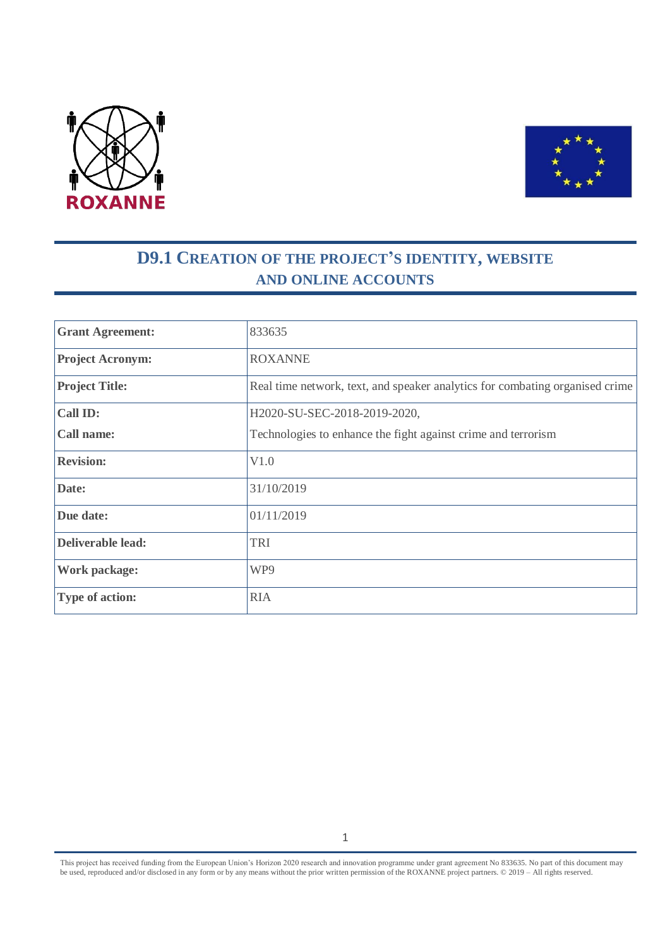



# **D9.1 CREATION OF THE PROJECT'S IDENTITY, WEBSITE AND ONLINE ACCOUNTS**

| <b>Grant Agreement:</b>  | 833635                                                                       |
|--------------------------|------------------------------------------------------------------------------|
| <b>Project Acronym:</b>  | <b>ROXANNE</b>                                                               |
| <b>Project Title:</b>    | Real time network, text, and speaker analytics for combating organised crime |
| <b>Call ID:</b>          | H2020-SU-SEC-2018-2019-2020,                                                 |
| <b>Call name:</b>        | Technologies to enhance the fight against crime and terrorism                |
| <b>Revision:</b>         | V1.0                                                                         |
| Date:                    | 31/10/2019                                                                   |
| Due date:                | 01/11/2019                                                                   |
| <b>Deliverable lead:</b> | <b>TRI</b>                                                                   |
| <b>Work package:</b>     | WP9                                                                          |
| <b>Type of action:</b>   | <b>RIA</b>                                                                   |

This project has received funding from the European Union's Horizon 2020 research and innovation programme under grant agreement No 833635*.* No part of this document may be used, reproduced and/or disclosed in any form or by any means without the prior written permission of the ROXANNE project partners. © 2019 – All rights reserved.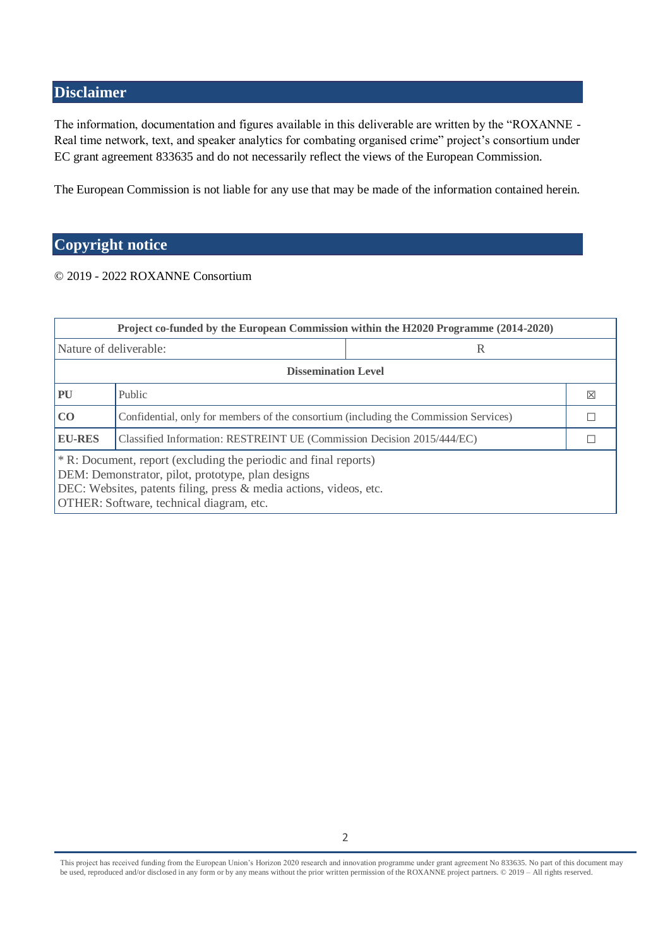## <span id="page-1-0"></span>**Disclaimer**

The information, documentation and figures available in this deliverable are written by the "ROXANNE - Real time network, text, and speaker analytics for combating organised crime" project's consortium under EC grant agreement 833635 and do not necessarily reflect the views of the European Commission.

The European Commission is not liable for any use that may be made of the information contained herein.

## <span id="page-1-1"></span>**Copyright notice**

#### © 2019 - 2022 ROXANNE Consortium

| Project co-funded by the European Commission within the H2020 Programme (2014-2020)                                                                                                                                                     |                                                                                      |   |   |  |  |  |
|-----------------------------------------------------------------------------------------------------------------------------------------------------------------------------------------------------------------------------------------|--------------------------------------------------------------------------------------|---|---|--|--|--|
| Nature of deliverable:                                                                                                                                                                                                                  |                                                                                      | R |   |  |  |  |
| <b>Dissemination Level</b>                                                                                                                                                                                                              |                                                                                      |   |   |  |  |  |
| PU                                                                                                                                                                                                                                      | Public                                                                               |   | ⊠ |  |  |  |
| CO                                                                                                                                                                                                                                      | Confidential, only for members of the consortium (including the Commission Services) |   |   |  |  |  |
| <b>EU-RES</b>                                                                                                                                                                                                                           | Classified Information: RESTREINT UE (Commission Decision 2015/444/EC)               |   |   |  |  |  |
| * R: Document, report (excluding the periodic and final reports)<br>DEM: Demonstrator, pilot, prototype, plan designs<br>DEC: Websites, patents filing, press & media actions, videos, etc.<br>OTHER: Software, technical diagram, etc. |                                                                                      |   |   |  |  |  |

This project has received funding from the European Union's Horizon 2020 research and innovation programme under grant agreement No 833635*.* No part of this document may be used, reproduced and/or disclosed in any form or by any means without the prior written permission of the ROXANNE project partners. © 2019 – All rights reserved.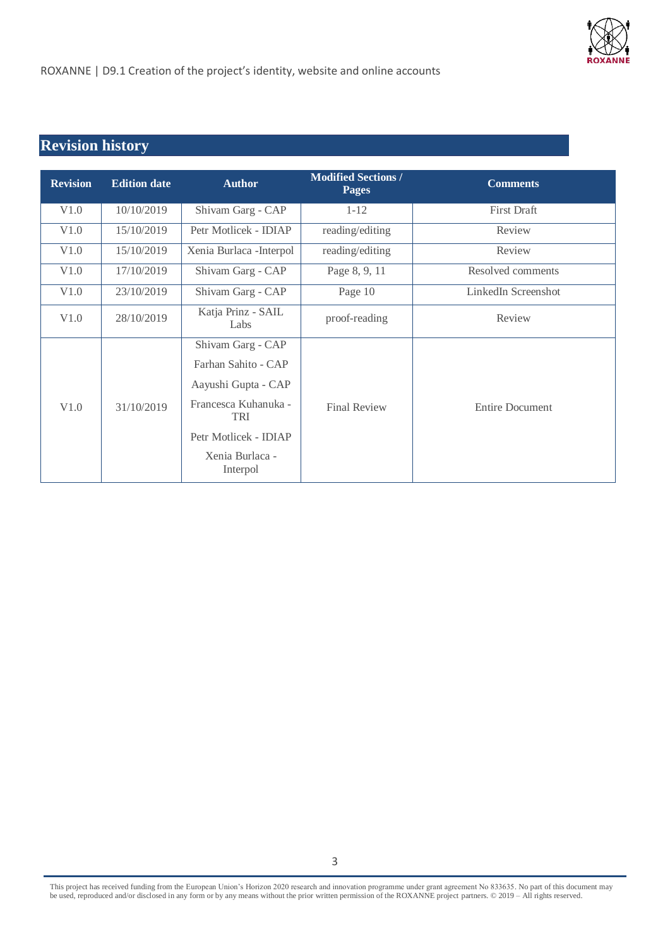

# <span id="page-2-0"></span>**Revision history**

| <b>Revision</b> | <b>Edition date</b> | <b>Author</b>                                                                                                                                                 | <b>Modified Sections /</b><br><b>Pages</b> | <b>Comments</b>        |
|-----------------|---------------------|---------------------------------------------------------------------------------------------------------------------------------------------------------------|--------------------------------------------|------------------------|
| V1.0            | 10/10/2019          | Shivam Garg - CAP                                                                                                                                             | $1 - 12$                                   | <b>First Draft</b>     |
| V1.0            | 15/10/2019          | Petr Motlicek - IDIAP                                                                                                                                         | reading/editing                            | Review                 |
| V1.0            | 15/10/2019          | Xenia Burlaca - Interpol                                                                                                                                      | reading/editing                            | Review                 |
| V1.0            | 17/10/2019          | Shivam Garg - CAP                                                                                                                                             | Page 8, 9, 11                              | Resolved comments      |
| V1.0            | 23/10/2019          | Shivam Garg - CAP                                                                                                                                             | Page 10                                    | LinkedIn Screenshot    |
| V1.0            | 28/10/2019          | Katja Prinz - SAIL<br>Labs                                                                                                                                    | proof-reading                              | Review                 |
| V1.0            | 31/10/2019          | Shivam Garg - CAP<br>Farhan Sahito - CAP<br>Aayushi Gupta - CAP<br>Francesca Kuhanuka -<br><b>TRI</b><br>Petr Motlicek - IDIAP<br>Xenia Burlaca -<br>Interpol | <b>Final Review</b>                        | <b>Entire Document</b> |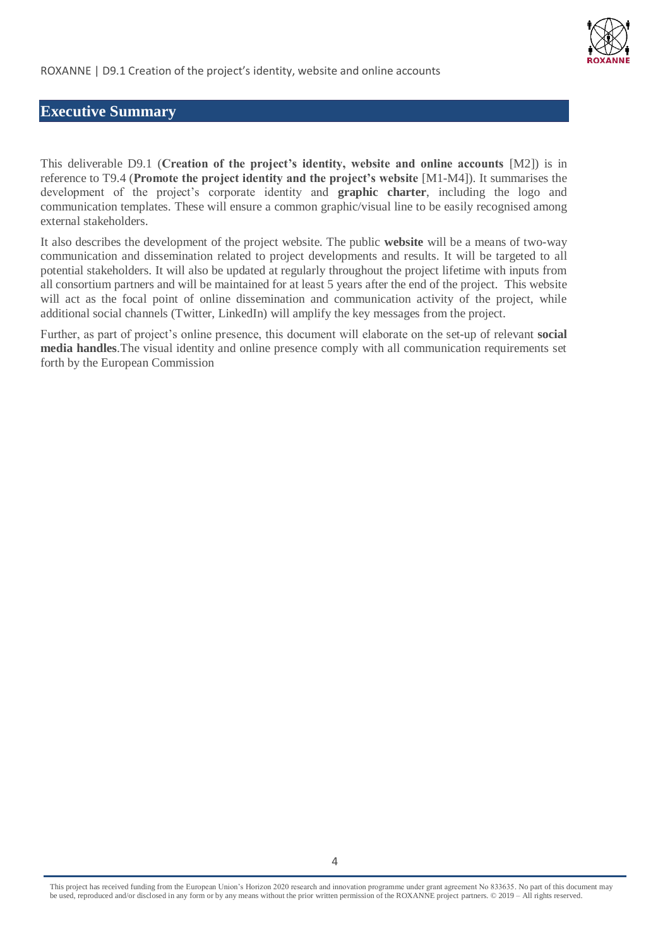

### <span id="page-3-0"></span>**Executive Summary**

This deliverable D9.1 (**Creation of the project's identity, website and online accounts** [M2]) is in reference to T9.4 (**Promote the project identity and the project's website** [M1-M4]). It summarises the development of the project's corporate identity and **graphic charter**, including the logo and communication templates. These will ensure a common graphic/visual line to be easily recognised among external stakeholders.

It also describes the development of the project website. The public **website** will be a means of two-way communication and dissemination related to project developments and results. It will be targeted to all potential stakeholders. It will also be updated at regularly throughout the project lifetime with inputs from all consortium partners and will be maintained for at least 5 years after the end of the project. This website will act as the focal point of online dissemination and communication activity of the project, while additional social channels (Twitter, LinkedIn) will amplify the key messages from the project.

Further, as part of project's online presence, this document will elaborate on the set-up of relevant **social media handles**.The visual identity and online presence comply with all communication requirements set forth by the European Commission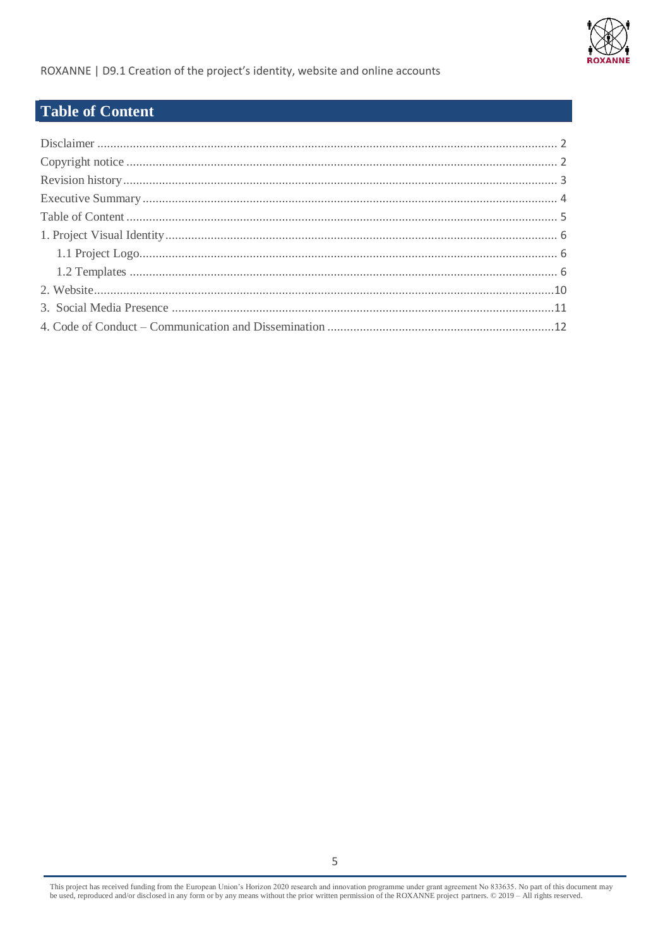

ROXANNE | D9.1 Creation of the project's identity, website and online accounts

## <span id="page-4-0"></span>**Table of Content**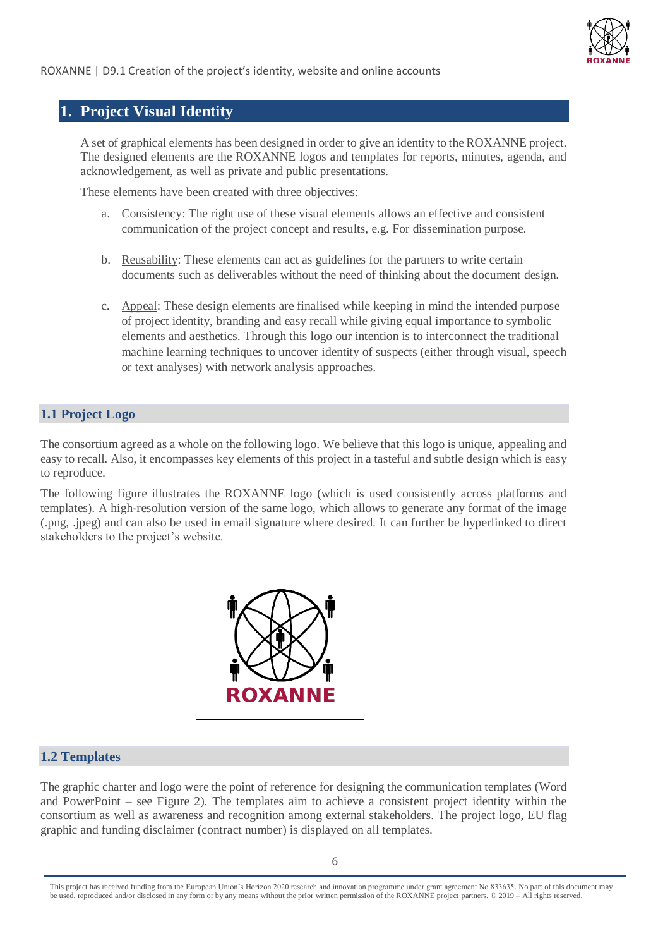

### <span id="page-5-0"></span>**1. Project Visual Identity**

A set of graphical elements has been designed in order to give an identity to the ROXANNE project. The designed elements are the ROXANNE logos and templates for reports, minutes, agenda, and acknowledgement, as well as private and public presentations.

These elements have been created with three objectives:

- a. Consistency: The right use of these visual elements allows an effective and consistent communication of the project concept and results, e.g. For dissemination purpose.
- b. Reusability: These elements can act as guidelines for the partners to write certain documents such as deliverables without the need of thinking about the document design.
- c. Appeal: These design elements are finalised while keeping in mind the intended purpose of project identity, branding and easy recall while giving equal importance to symbolic elements and aesthetics. Through this logo our intention is to interconnect the traditional machine learning techniques to uncover identity of suspects (either through visual, speech or text analyses) with network analysis approaches.

#### <span id="page-5-1"></span>**1.1 Project Logo**

The consortium agreed as a whole on the following logo. We believe that this logo is unique, appealing and easy to recall. Also, it encompasses key elements of this project in a tasteful and subtle design which is easy to reproduce.

The following figure illustrates the ROXANNE logo (which is used consistently across platforms and templates). A high-resolution version of the same logo, which allows to generate any format of the image (.png, .jpeg) and can also be used in email signature where desired. It can further be hyperlinked to direct stakeholders to the project's website.



#### <span id="page-5-2"></span>**1.2 Templates**

The graphic charter and logo were the point of reference for designing the communication templates (Word and PowerPoint – see Figure 2). The templates aim to achieve a consistent project identity within the consortium as well as awareness and recognition among external stakeholders. The project logo, EU flag graphic and funding disclaimer (contract number) is displayed on all templates.

This project has received funding from the European Union's Horizon 2020 research and innovation programme under grant agreement No 833635*.* No part of this document may be used, reproduced and/or disclosed in any form or by any means without the prior written permission of the ROXANNE project partners. © 2019 – All rights reserved.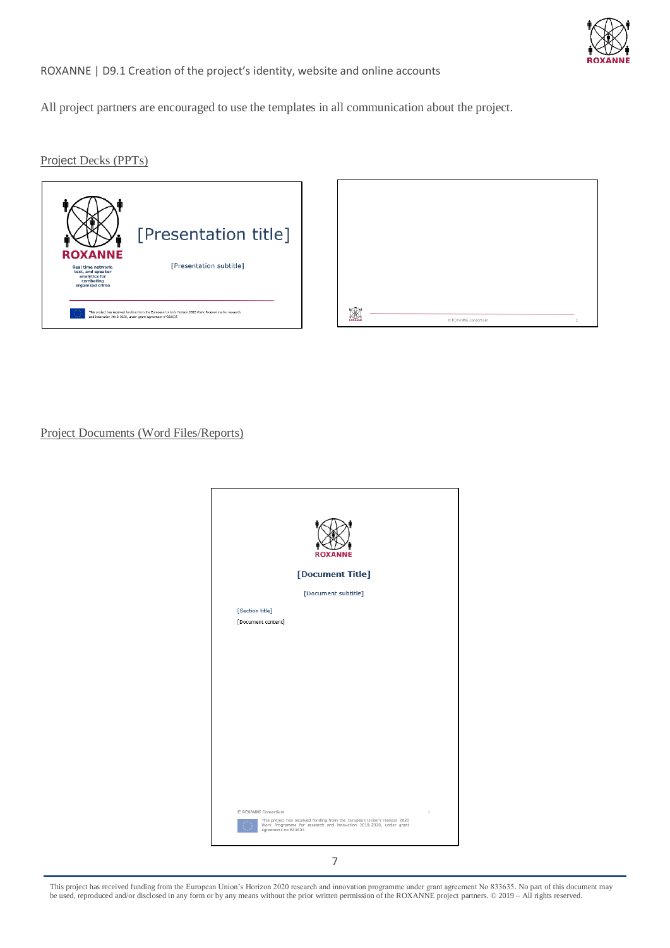

#### ROXANNE | D9.1 Creation of the project's identity, website and online accounts

All project partners are encouraged to use the templates in all communication about the project.

Project Decks (PPTs)



| BOXAN | C ROXANNE Consortium | $\bar{2}$ |
|-------|----------------------|-----------|

Project Documents (Word Files/Reports)

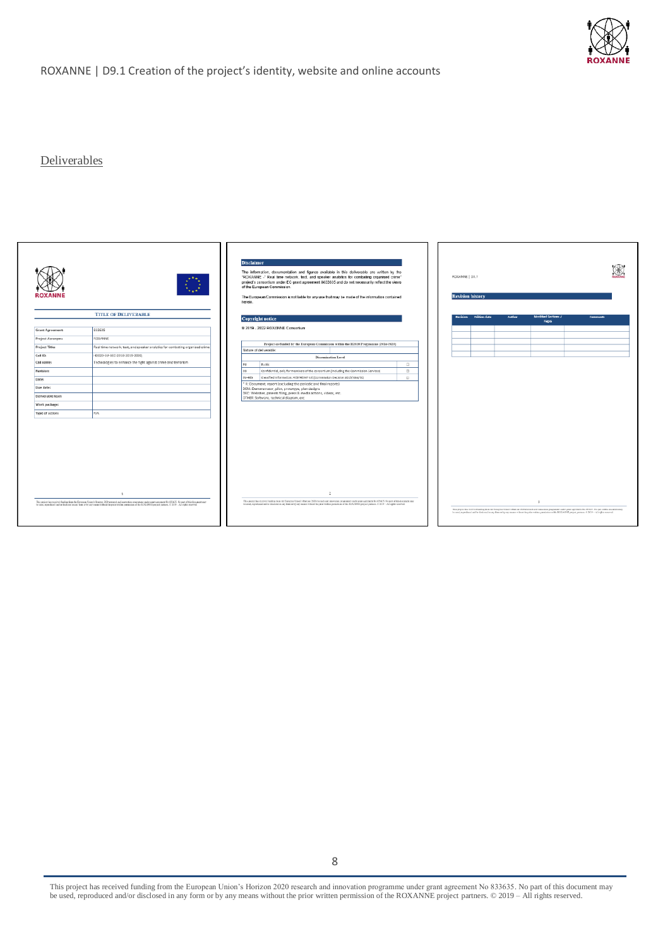

#### Deliverables

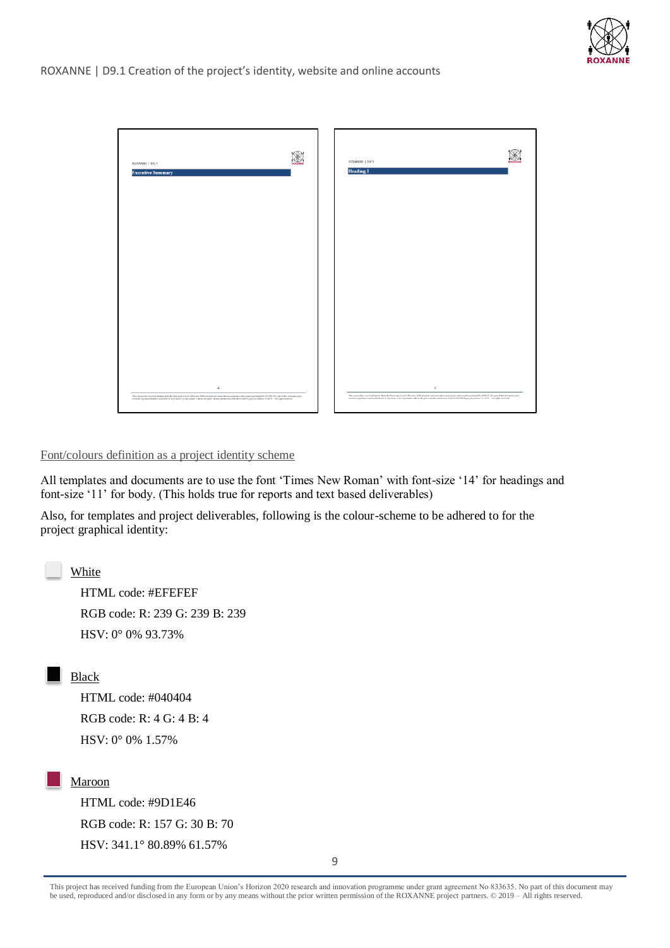



Font/colours definition as a project identity scheme

All templates and documents are to use the font 'Times New Roman' with font-size '14' for headings and font-size '11' for body. (This holds true for reports and text based deliverables)

Also, for templates and project deliverables, following is the colour-scheme to be adhered to for the project graphical identity:

White

HTML code: #EFEFEF RGB code: R: 239 G: 239 B: 239 HSV: 0° 0% 93.73%

Black

HTML code: #040404 RGB code: R: 4 G: 4 B: 4 HSV: 0° 0% 1.57%

#### Maroon

HTML code: #9D1E46 RGB code: R: 157 G: 30 B: 70 HSV: 341.1° 80.89% 61.57%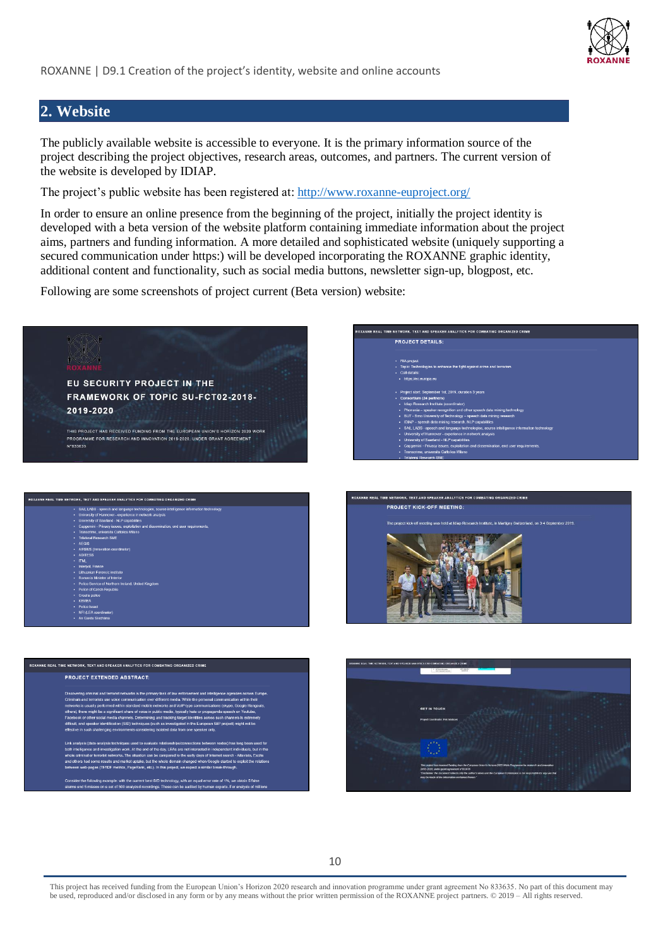

## <span id="page-9-0"></span>**2. Website**

The publicly available website is accessible to everyone. It is the primary information source of the project describing the project objectives, research areas, outcomes, and partners. The current version of the website is developed by IDIAP.

The project's public website has been registered at:<http://www.roxanne-euproject.org/>

In order to ensure an online presence from the beginning of the project, initially the project identity is developed with a beta version of the website platform containing immediate information about the project aims, partners and funding information. A more detailed and sophisticated website (uniquely supporting a secured communication under https:) will be developed incorporating the ROXANNE graphic identity, additional content and functionality, such as social media buttons, newsletter sign-up, blogpost, etc.

Following are some screenshots of project current (Beta version) website:

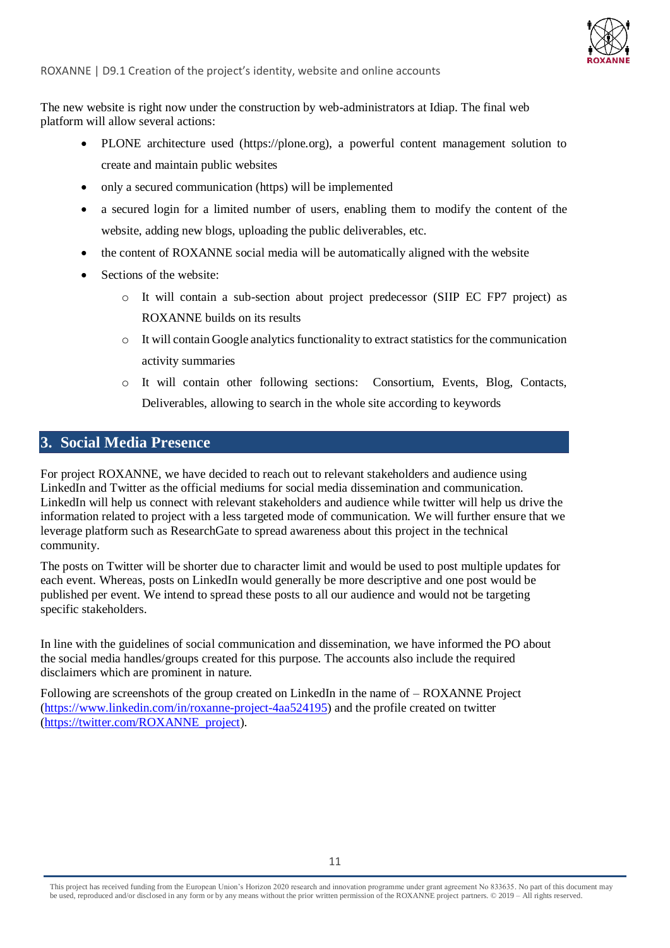

The new website is right now under the construction by web-administrators at Idiap. The final web platform will allow several actions:

- PLONE architecture used (https://plone.org), a powerful content management solution to create and maintain public websites
- only a secured communication (https) will be implemented
- a secured login for a limited number of users, enabling them to modify the content of the website, adding new blogs, uploading the public deliverables, etc.
- the content of ROXANNE social media will be automatically aligned with the website
- Sections of the website:
	- o It will contain a sub-section about project predecessor (SIIP EC FP7 project) as ROXANNE builds on its results
	- $\circ$  It will contain Google analytics functionality to extract statistics for the communication activity summaries
	- o It will contain other following sections: Consortium, Events, Blog, Contacts, Deliverables, allowing to search in the whole site according to keywords

### <span id="page-10-0"></span>**3. Social Media Presence**

For project ROXANNE, we have decided to reach out to relevant stakeholders and audience using LinkedIn and Twitter as the official mediums for social media dissemination and communication. LinkedIn will help us connect with relevant stakeholders and audience while twitter will help us drive the information related to project with a less targeted mode of communication. We will further ensure that we leverage platform such as ResearchGate to spread awareness about this project in the technical community.

The posts on Twitter will be shorter due to character limit and would be used to post multiple updates for each event. Whereas, posts on LinkedIn would generally be more descriptive and one post would be published per event. We intend to spread these posts to all our audience and would not be targeting specific stakeholders.

In line with the guidelines of social communication and dissemination, we have informed the PO about the social media handles/groups created for this purpose. The accounts also include the required disclaimers which are prominent in nature.

Following are screenshots of the group created on LinkedIn in the name of – ROXANNE Project [\(https://www.linkedin.com/in/roxanne-project-4aa524195\)](https://www.linkedin.com/in/roxanne-project-4aa524195/) and the profile created on twitter [\(https://twitter.com/ROXANNE\\_project\)](https://twitter.com/ROXANNE_project).

This project has received funding from the European Union's Horizon 2020 research and innovation programme under grant agreement No 833635*.* No part of this document may be used, reproduced and/or disclosed in any form or by any means without the prior written permission of the ROXANNE project partners. © 2019 – All rights reserved.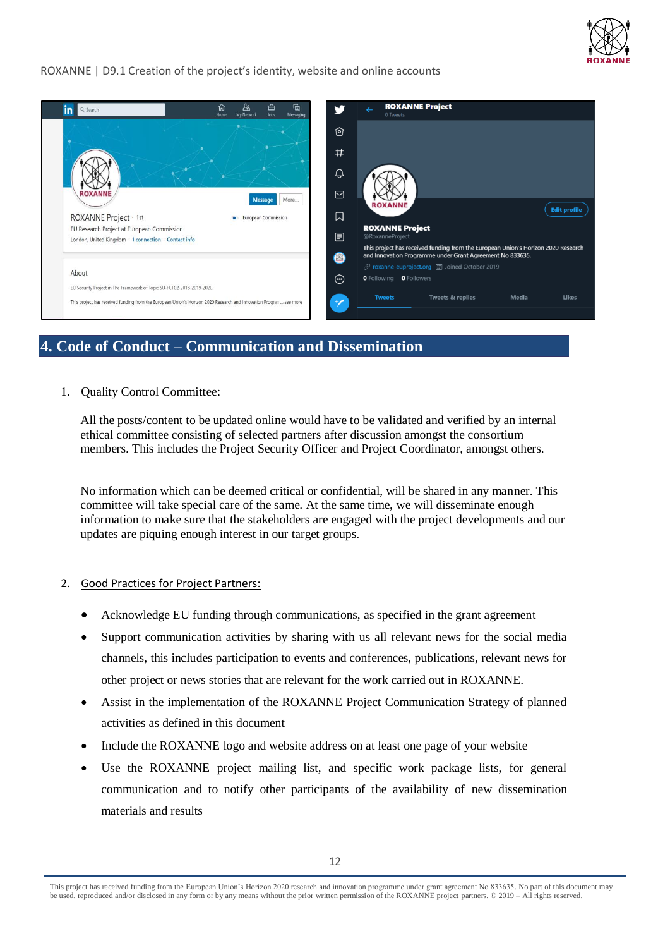

#### ROXANNE | D9.1 Creation of the project's identity, website and online accounts



## <span id="page-11-0"></span>**4. Code of Conduct – Communication and Dissemination**

#### 1. Quality Control Committee:

All the posts/content to be updated online would have to be validated and verified by an internal ethical committee consisting of selected partners after discussion amongst the consortium members. This includes the Project Security Officer and Project Coordinator, amongst others.

No information which can be deemed critical or confidential, will be shared in any manner. This committee will take special care of the same. At the same time, we will disseminate enough information to make sure that the stakeholders are engaged with the project developments and our updates are piquing enough interest in our target groups.

#### 2. Good Practices for Project Partners:

- Acknowledge EU funding through communications, as specified in the grant agreement
- Support communication activities by sharing with us all relevant news for the social media channels, this includes participation to events and conferences, publications, relevant news for other project or news stories that are relevant for the work carried out in ROXANNE.
- Assist in the implementation of the ROXANNE Project Communication Strategy of planned activities as defined in this document
- Include the ROXANNE logo and website address on at least one page of your website
- Use the ROXANNE project mailing list, and specific work package lists, for general communication and to notify other participants of the availability of new dissemination materials and results

This project has received funding from the European Union's Horizon 2020 research and innovation programme under grant agreement No 833635*.* No part of this document may be used, reproduced and/or disclosed in any form or by any means without the prior written permission of the ROXANNE project partners. © 2019 – All rights reserved.